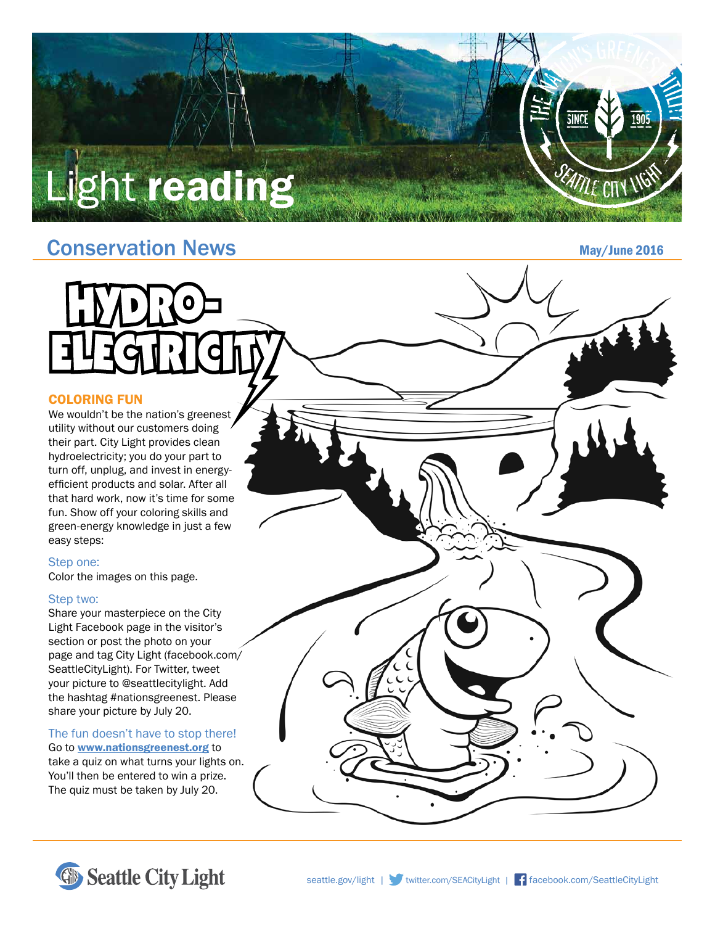# Light reading

### Conservation News

May/June 2016

#### COLORING FUN

We wouldn't be the nation's greenest utility without our customers doing their part. City Light provides clean hydroelectricity; you do your part to turn off, unplug, and invest in energyefficient products and solar. After all that hard work, now it's time for some fun. Show off your coloring skills and green-energy knowledge in just a few easy steps:

#### Step one:

Color the images on this page.

#### Step two:

Share your masterpiece on the City Light Facebook page in the visitor's section or post the photo on your page and tag City Light (facebook.com/ SeattleCityLight). For Twitter, tweet your picture to @seattlecitylight. Add the hashtag #nationsgreenest. Please share your picture by July 20.

#### The fun doesn't have to stop there!

Go to www.nationsgreenest.org to take a quiz on what turns your lights on. You'll then be entered to win a prize. The quiz must be taken by July 20.



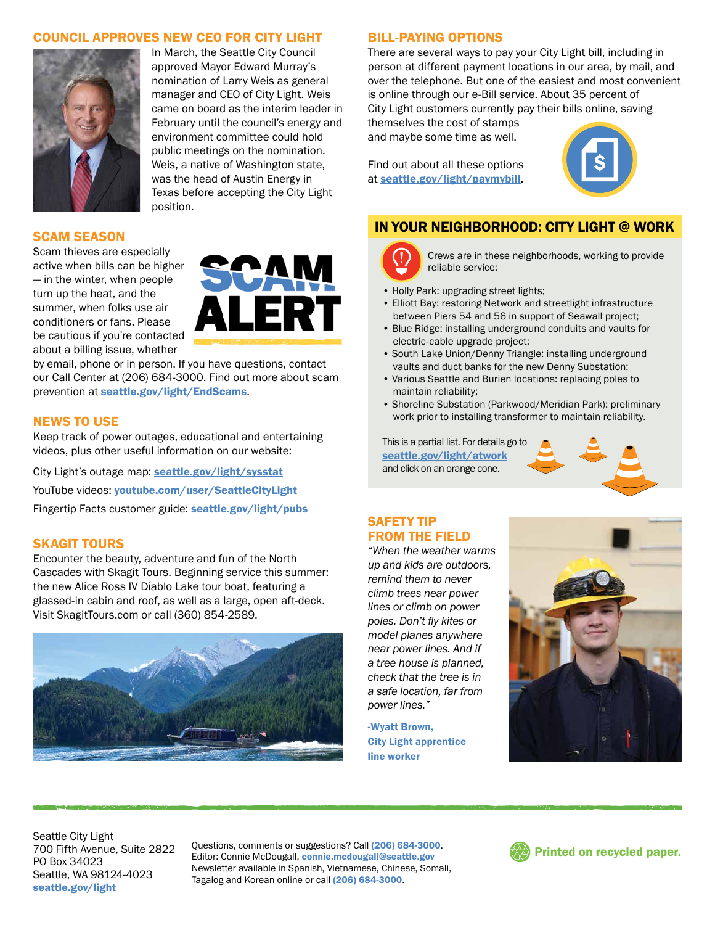#### COUNCIL APPROVES NEW CEO FOR CITY LIGHT



In March, the Seattle City Council approved Mayor Edward Murray's nomination of Larry Weis as general manager and CEO of City Light. Weis came on board as the interim leader in February until the council's energy and environment committee could hold public meetings on the nomination. Weis, a native of Washington state, was the head of Austin Energy in Texas before accepting the City Light position.

#### SCAM SEASON

Scam thieves are especially active when bills can be higher — in the winter, when people turn up the heat, and the summer, when folks use air conditioners or fans. Please be cautious if you're contacted about a billing issue, whether



by email, phone or in person. If you have questions, contact our Call Center at (206) 684-3000. Find out more about scam prevention at seattle.gov/light/EndScams.

#### NEWS TO USE

Keep track of power outages, educational and entertaining videos, plus other useful information on our website:

City Light's outage map: seattle.gov/light/sysstat YouTube videos: youtube.com/user/SeattleCityLight Fingertip Facts customer guide: seattle.gov/light/pubs

#### SKAGIT TOURS

Encounter the beauty, adventure and fun of the North Cascades with Skagit Tours. Beginning service this summer: the new Alice Ross IV Diablo Lake tour boat, featuring a glassed-in cabin and roof, as well as a large, open aft-deck. Visit SkagitTours.com or call (360) 854-2589.



#### BILL-PAYING OPTIONS

There are several ways to pay your City Light bill, including in person at different payment locations in our area, by mail, and over the telephone. But one of the easiest and most convenient is online through our e-Bill service. About 35 percent of City Light customers currently pay their bills online, saving

themselves the cost of stamps and maybe some time as well.

Find out about all these options at seattle.gov/light/paymybill.



#### IN YOUR NEIGHBORHOOD: CITY LIGHT @ WORK



Crews are in these neighborhoods, working to provide reliable service:

- Holly Park: upgrading street lights;
- Elliott Bay: restoring Network and streetlight infrastructure between Piers 54 and 56 in support of Seawall project;
- Blue Ridge: installing underground conduits and vaults for electric-cable upgrade project;
- South Lake Union/Denny Triangle: installing underground vaults and duct banks for the new Denny Substation;
- Various Seattle and Burien locations: replacing poles to maintain reliability;
- Shoreline Substation (Parkwood/Meridian Park): preliminary work prior to installing transformer to maintain reliability.

This is a partial list. For details go to seattle.gov/light/atwork and click on an orange cone.



#### SAFETY TIP FROM THE FIELD

*"When the weather warms up and kids are outdoors, remind them to never climb trees near power lines or climb on power poles. Don't fly kites or model planes anywhere near power lines. And if a tree house is planned, check that the tree is in a safe location, far from power lines."*

-Wyatt Brown, City Light apprentice line worker



Seattle City Light 700 Fifth Avenue, Suite 2822 PO Box 34023 Seattle, WA 98124-4023 seattle.gov/light

Questions, comments or suggestions? Call (206) 684-3000. Editor: Connie McDougall, connie.mcdougall@seattle.gov Newsletter available in Spanish, Vietnamese, Chinese, Somali, Tagalog and Korean online or call (206) 684-3000.

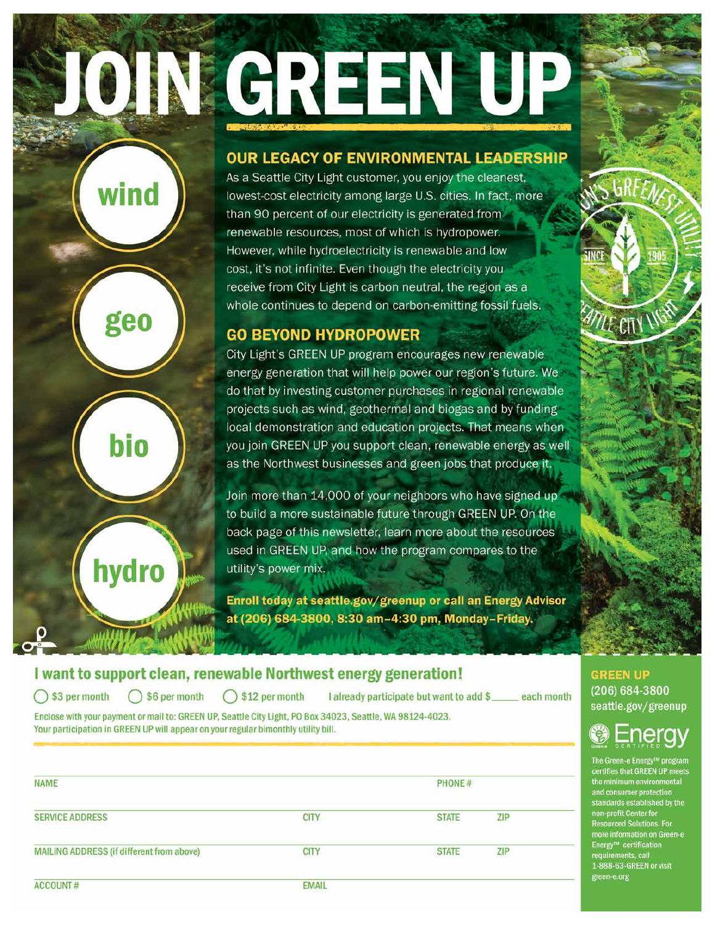# JOIN GREEN UP

#### OUR LEGACY OF ENVIRONMENTAL LEADERSHIP

As a Seattle City Light customer, you enjoy the cleanest, lowest-cost electricity among large U.S. cities. In fact, more than 90 percent of our electricity is generated from renewable resources, most of which is hydropower. However, while hydroelectricity is renewable and low cost, it's not infinite. Even though the electricity you receive from City Light is carbon neutral, the region as a whole continues to depend on carbon-emitting fossil fuels.

#### **GO BEYOND HYDROPOWER**

City Light's GREEN UP program encourages new renewable energy generation that will help power our region's future. We do that by investing customer purchases in regional renewable projects such as wind, geothermal and biogas and by funding local demonstration and education projects. That means when you join GREEN UP you support clean, renewable energy as well as the Northwest businesses and green jobs that produce it.

Join more than 14,000 of your neighbors who have signed up to build a more sustainable future through GREEN UP. On the back page of this newsletter, learn more about the resources used in GREEN UP, and how the program compares to the utility's power mix.

Enroll today at seattle.gov/greenup or call an Energy Advisor at (206) 684-3800, 8:30 am-4:30 pm, Monday-Friday.

#### I want to support clean, renewable Northwest energy generation!

\$3 per month

 $\bigcirc$  \$6 per month  $\bigcirc$  \$12 per month

wind

geo

bio

hydro

I already participate but want to add \$\_each month

Enclose with your payment or mail to: GREEN UP, Seattle City Light, PO Box 34023, Seattle, WA 98124-4023. Your participation in GREEN UP will appear on your regular bimonthly utility bill.

| NAME                                      |              | PHONE#       |            |  |
|-------------------------------------------|--------------|--------------|------------|--|
| <b>SERVICE ADDRESS</b>                    | <b>CITY</b>  | <b>STATE</b> | <b>ZIP</b> |  |
| MAILING ADDRESS (if different from above) | <b>CITY</b>  | <b>STATE</b> | ZIP        |  |
| ACCOUNT #                                 | <b>EMAIL</b> |              |            |  |



 $\mathscr{U}\!\ell$  CITY  $\vee$ 

## ero

The Green-e Energy™ program<br>certifies that GREEN UP meets<br>the minimum environmental and consumer protection standards established by the<br>non-profit Center for **Resourced Solutions. For** more information on Green-e<br>Energy™ certification<br>requirements, call 1-888-63-GREEN or visit green-e.org